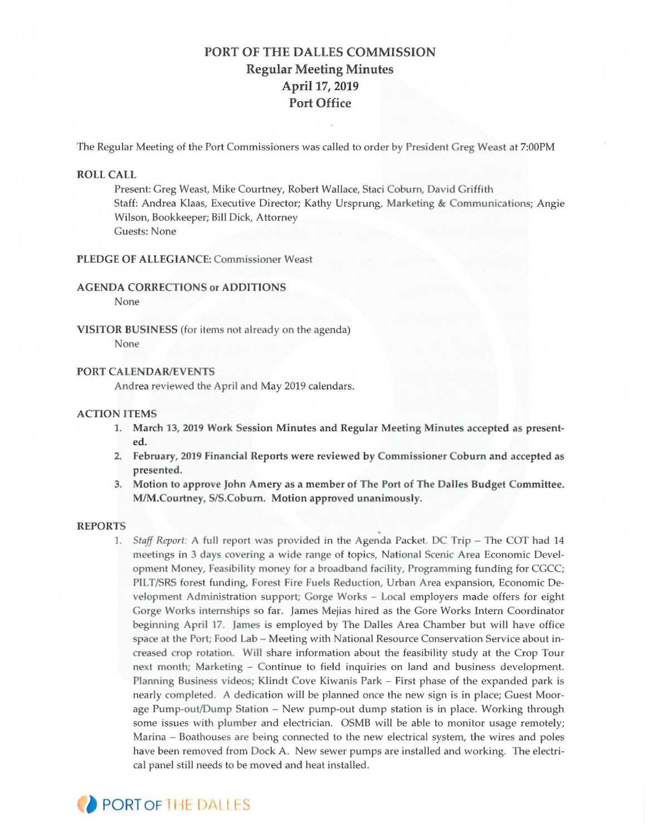# PORT OF THE DALLES COMMISSION Regular Meeting Minutes April 17, 2019 Port Office

The Regular Meeting of the Port Commissioners was called to order by President Greg Weast at 7:00PM

# ROLL CALL

Present: Greg Weast, Mike Courtney, Robert Wallace, Staci Coburn, David Griffith Staff: Andrea Klaas, Executive Director; Kathy Ursprung, Marketing & Communications; Angie Wilson, Bookkeeper; Bill Dick, Attorney Guests: None

# PLEDGE OF ALLEGIANCE: Commissioner Weast

#### AGENDA CORRECTIONS or ADDITIONS

None

VISITOR BUSINESS (for items not already on the agenda ) None

## **PORT CALENDAR/EVENTS**

Andrea reviewed the April and May 2019 calendars.

## ACTION ITEMS

- 1. March 13, 2019 Work Session Minutes and Regular Meeting Minutes accepted as presented.
- 2. February, 2019 Financial Reports were reviewed by Commissioner Coburn and accepted as presented.
- 3. Motion to approve John Amery as a member of The Port of The Dalles Budget Committee. M/M.Courtney, S/S.Coburn. Motion approved unanimously.

## REPORTS

1. *Staff Report:* A full report was provided in the Agenda Packet. DC Trip - The COT had 14 meetings in 3 days covering a wide range of topics, National Scenic Area Economic Development Money, Feasibility money for a broadband facility, Programming funding for CGCC; PILT/SRS forest funding, Forest Fire Fuels Reduction, Urban Area expansion, Economic Development Administration support; Gorge Works - Local employers made offers for eight Gorge Works internships so far. James Mejias hired as the Gore Works Intern Coordinator beginning April 17. James is employed by The Dalles Area Chamber but will have office space at the Port; Food Lab - Meeting with National Resource Conservation Service about increased crop rotation. Will share information about the feasibility study at the Crop Tour next month; Marketing - Continue to field inquiries on land and business development. Planning Business videos; Klindt Cove Kiwanis Park - First phase of the expanded park is nearly completed. A dedication will be planned once the new sign is in place; Guest Moorage Pump-out/Dump Station - New pump-out dump station is in place. Working through some issues with plumber and electrician. OSMB will be able to monitor usage remotely; Marina – Boathouses are being connected to the new electrical system, the wires and poles have been removed from Dock A. New sewer pumps are installed and working. The electrical panel still needs to be moved and heat installed.